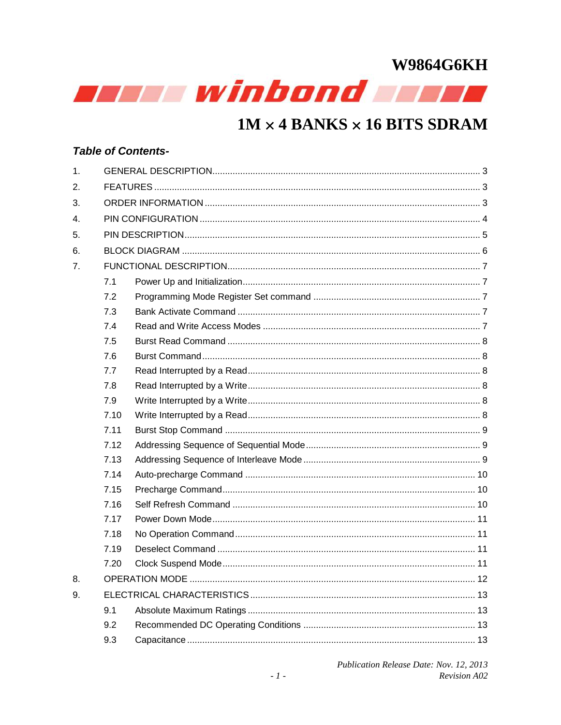

### $1M \times 4$  BANKS  $\times 16$  BITS SDRAM

#### **Table of Contents-**

| 1.               |      |  |
|------------------|------|--|
| 2.               |      |  |
| 3.               |      |  |
| $\overline{4}$ . |      |  |
| 5.               |      |  |
| 6.               |      |  |
| 7.               |      |  |
|                  | 7.1  |  |
|                  | 7.2  |  |
|                  | 7.3  |  |
|                  | 7.4  |  |
|                  | 7.5  |  |
|                  | 7.6  |  |
|                  | 7.7  |  |
|                  | 7.8  |  |
|                  | 7.9  |  |
|                  | 7.10 |  |
|                  | 7.11 |  |
|                  | 7.12 |  |
|                  | 7.13 |  |
|                  | 7.14 |  |
|                  | 7.15 |  |
|                  | 7.16 |  |
|                  | 7.17 |  |
|                  | 7.18 |  |
|                  | 7.19 |  |
|                  | 7.20 |  |
| 8.               |      |  |
| 9.               |      |  |
|                  | 9.1  |  |
|                  | 9.2  |  |
|                  | 9.3  |  |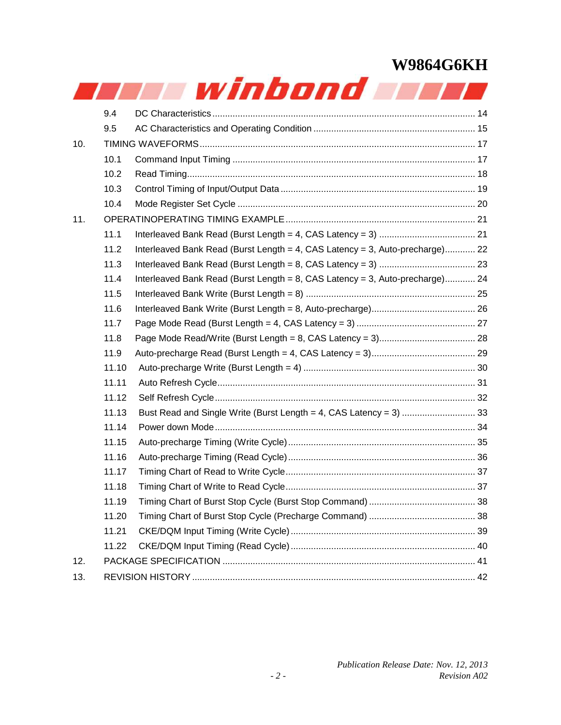|     |       | r winbond and                                                                |  |
|-----|-------|------------------------------------------------------------------------------|--|
|     | 9.4   |                                                                              |  |
|     | 9.5   |                                                                              |  |
| 10. |       |                                                                              |  |
|     | 10.1  |                                                                              |  |
|     | 10.2  |                                                                              |  |
|     | 10.3  |                                                                              |  |
|     | 10.4  |                                                                              |  |
| 11. |       |                                                                              |  |
|     | 11.1  |                                                                              |  |
|     | 11.2  | Interleaved Bank Read (Burst Length = 4, CAS Latency = 3, Auto-precharge) 22 |  |
|     | 11.3  |                                                                              |  |
|     | 11.4  | Interleaved Bank Read (Burst Length = 8, CAS Latency = 3, Auto-precharge) 24 |  |
|     | 11.5  |                                                                              |  |
|     | 11.6  |                                                                              |  |
|     | 11.7  |                                                                              |  |
|     | 11.8  |                                                                              |  |
|     | 11.9  |                                                                              |  |
|     | 11.10 |                                                                              |  |
|     | 11.11 |                                                                              |  |
|     | 11.12 |                                                                              |  |
|     | 11.13 |                                                                              |  |
|     | 11.14 |                                                                              |  |
|     | 11.15 |                                                                              |  |
|     | 11.16 |                                                                              |  |
|     | 11.17 |                                                                              |  |
|     | 11.18 |                                                                              |  |
|     | 11.19 |                                                                              |  |
|     | 11.20 |                                                                              |  |
|     | 11.21 |                                                                              |  |
|     | 11.22 |                                                                              |  |
| 12. |       |                                                                              |  |
| 13. |       |                                                                              |  |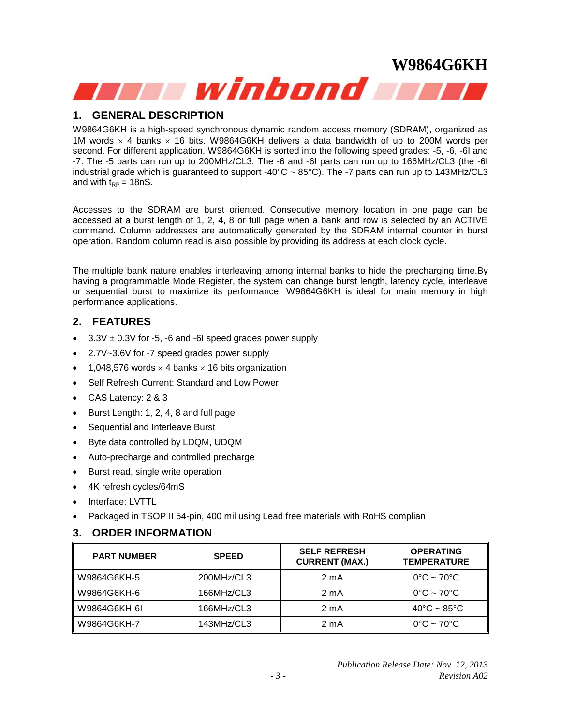#### **1. GENERAL DESCRIPTION**

W9864G6KH is a high-speed synchronous dynamic random access memory (SDRAM), organized as 1M words  $\times$  4 banks  $\times$  16 bits. W9864G6KH delivers a data bandwidth of up to 200M words per second. For different application, W9864G6KH is sorted into the following speed grades: -5, -6, -6I and -7. The -5 parts can run up to 200MHz/CL3. The -6 and -6I parts can run up to 166MHz/CL3 (the -6I industrial grade which is guaranteed to support -40 $^{\circ}$ C ~ 85 $^{\circ}$ C). The -7 parts can run up to 143MHz/CL3 and with  $t_{\text{RP}} = 18$ nS.

Accesses to the SDRAM are burst oriented. Consecutive memory location in one page can be accessed at a burst length of 1, 2, 4, 8 or full page when a bank and row is selected by an ACTIVE command. Column addresses are automatically generated by the SDRAM internal counter in burst operation. Random column read is also possible by providing its address at each clock cycle.

The multiple bank nature enables interleaving among internal banks to hide the precharging time.By having a programmable Mode Register, the system can change burst length, latency cycle, interleave or sequential burst to maximize its performance. W9864G6KH is ideal for main memory in high performance applications.

#### **2. FEATURES**

- $\cdot$  3.3V  $\pm$  0.3V for -5, -6 and -6I speed grades power supply
- 2.7V~3.6V for -7 speed grades power supply
- 1,048,576 words  $\times$  4 banks  $\times$  16 bits organization
- Self Refresh Current: Standard and Low Power
- CAS Latency: 2 & 3
- Burst Length: 1, 2, 4, 8 and full page
- Sequential and Interleave Burst
- Byte data controlled by LDQM, UDQM
- Auto-precharge and controlled precharge
- Burst read, single write operation
- 4K refresh cycles/64mS
- Interface: LVTTL
- Packaged in TSOP II 54-pin, 400 mil using Lead free materials with RoHS complian

#### **3. ORDER INFORMATION**

| <b>PART NUMBER</b> | <b>SPEED</b> |                  | <b>OPERATING</b><br><b>TEMPERATURE</b> |  |  |
|--------------------|--------------|------------------|----------------------------------------|--|--|
| W9864G6KH-5        | 200MHz/CL3   | $2 \text{ mA}$   | $0^{\circ}$ C ~ 70 $^{\circ}$ C        |  |  |
| W9864G6KH-6        | 166MHz/CL3   | 2 <sub>m</sub> A | $0^{\circ}$ C ~ 70 $^{\circ}$ C        |  |  |
| W9864G6KH-6I       | 166MHz/CL3   | $2 \text{ mA}$   | $-40^{\circ}$ C ~ 85 $^{\circ}$ C      |  |  |
| W9864G6KH-7        | 143MHz/CL3   | $2 \text{ mA}$   | $0^{\circ}$ C ~ 70 $^{\circ}$ C        |  |  |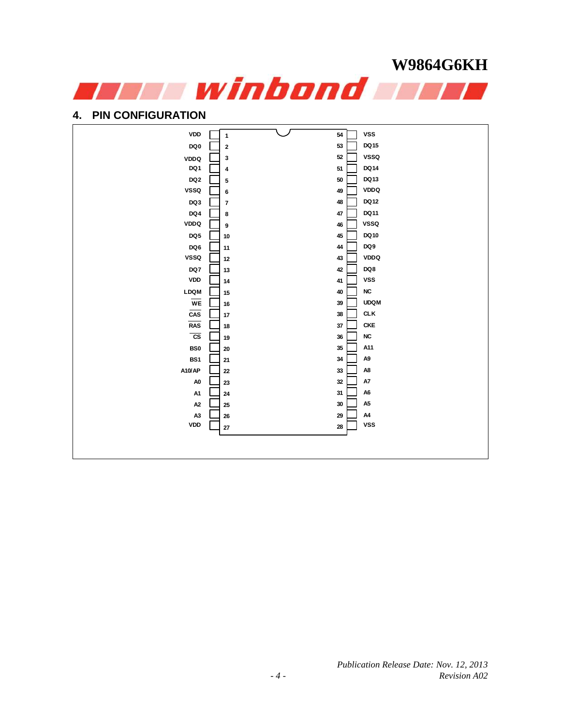

#### **4. PIN CONFIGURATION**

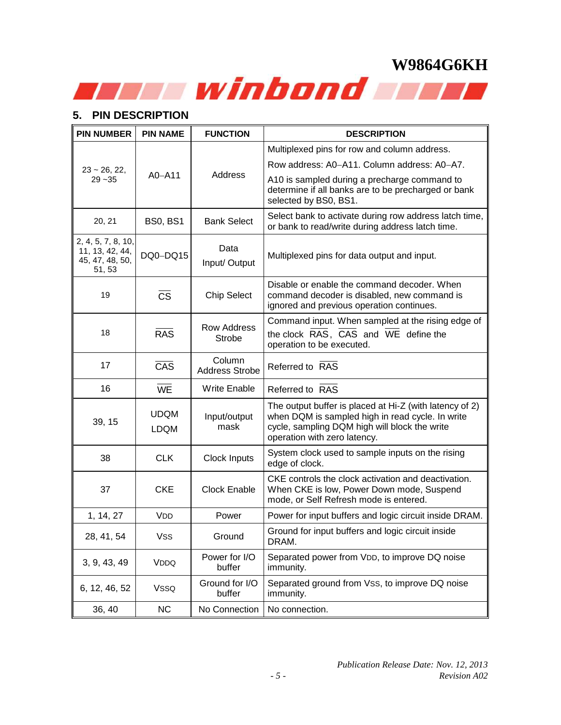### **5. PIN DESCRIPTION**

| <b>PIN NUMBER</b>                                                  | <b>PIN NAME</b>            | <b>FUNCTION</b>                     | <b>DESCRIPTION</b>                                                                                                                                                                           |
|--------------------------------------------------------------------|----------------------------|-------------------------------------|----------------------------------------------------------------------------------------------------------------------------------------------------------------------------------------------|
|                                                                    |                            |                                     | Multiplexed pins for row and column address.                                                                                                                                                 |
| $23 \sim 26, 22,$                                                  |                            |                                     | Row address: A0-A11. Column address: A0-A7.                                                                                                                                                  |
| $29 - 35$                                                          | $AO$ -A11                  | Address                             | A10 is sampled during a precharge command to<br>determine if all banks are to be precharged or bank<br>selected by BS0, BS1.                                                                 |
| 20, 21                                                             | <b>BS0, BS1</b>            | <b>Bank Select</b>                  | Select bank to activate during row address latch time,<br>or bank to read/write during address latch time.                                                                                   |
| 2, 4, 5, 7, 8, 10,<br>11, 13, 42, 44,<br>45, 47, 48, 50,<br>51, 53 | DQ0-DQ15                   | Data<br>Input/ Output               | Multiplexed pins for data output and input.                                                                                                                                                  |
| 19                                                                 | $\overline{\text{CS}}$     | <b>Chip Select</b>                  | Disable or enable the command decoder. When<br>command decoder is disabled, new command is<br>ignored and previous operation continues.                                                      |
| 18                                                                 | <b>RAS</b>                 | <b>Row Address</b><br><b>Strobe</b> | Command input. When sampled at the rising edge of<br>the clock RAS, CAS and WE define the<br>operation to be executed.                                                                       |
| 17                                                                 | CAS                        | Column<br><b>Address Strobe</b>     | Referred to RAS                                                                                                                                                                              |
| 16                                                                 | <b>WE</b>                  | <b>Write Enable</b>                 | Referred to RAS                                                                                                                                                                              |
| 39, 15                                                             | <b>UDQM</b><br><b>LDQM</b> | Input/output<br>mask                | The output buffer is placed at Hi-Z (with latency of 2)<br>when DQM is sampled high in read cycle. In write<br>cycle, sampling DQM high will block the write<br>operation with zero latency. |
| 38                                                                 | <b>CLK</b>                 | Clock Inputs                        | System clock used to sample inputs on the rising<br>edge of clock.                                                                                                                           |
| 37                                                                 | <b>CKE</b>                 | <b>Clock Enable</b>                 | CKE controls the clock activation and deactivation.<br>When CKE is low, Power Down mode, Suspend<br>mode, or Self Refresh mode is entered.                                                   |
| 1, 14, 27                                                          | <b>VDD</b>                 | Power                               | Power for input buffers and logic circuit inside DRAM.                                                                                                                                       |
| 28, 41, 54                                                         | Vss                        | Ground                              | Ground for input buffers and logic circuit inside<br>DRAM.                                                                                                                                   |
| 3, 9, 43, 49                                                       | <b>VDDQ</b>                | Power for I/O<br>buffer             | Separated power from VDD, to improve DQ noise<br>immunity.                                                                                                                                   |
| 6, 12, 46, 52                                                      | <b>VSSQ</b>                | Ground for I/O<br>buffer            | Separated ground from Vss, to improve DQ noise<br>immunity.                                                                                                                                  |
| 36, 40                                                             | NC                         | No Connection                       | No connection.                                                                                                                                                                               |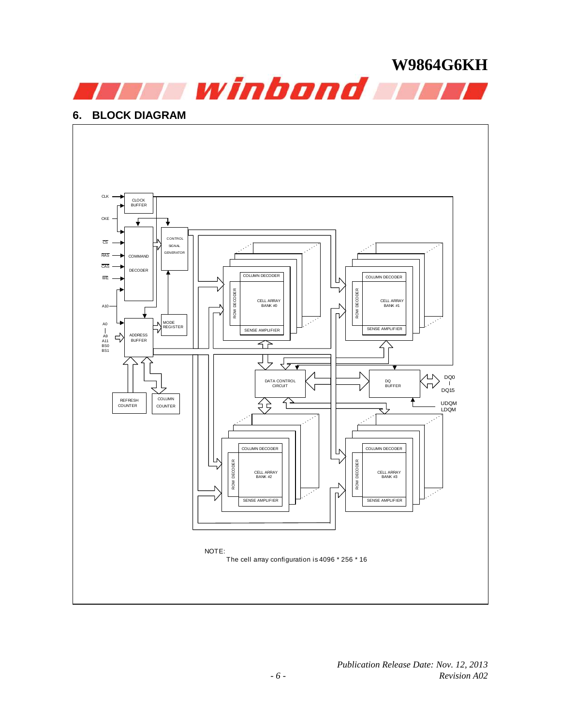

#### **6. BLOCK DIAGRAM**

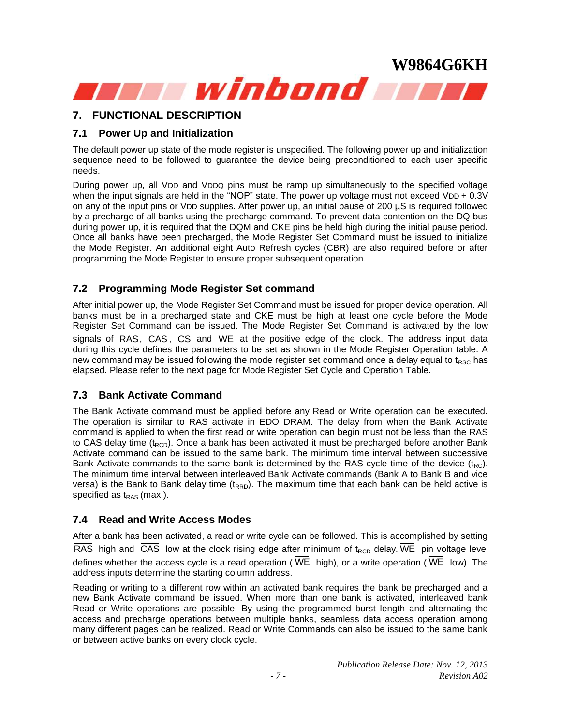

#### **7. FUNCTIONAL DESCRIPTION**

#### **7.1 Power Up and Initialization**

The default power up state of the mode register is unspecified. The following power up and initialization sequence need to be followed to guarantee the device being preconditioned to each user specific needs.

During power up, all VDD and VDDQ pins must be ramp up simultaneously to the specified voltage when the input signals are held in the "NOP" state. The power up voltage must not exceed VDD +  $0.3V$ on any of the input pins or VDD supplies. After power up, an initial pause of 200 µS is required followed by a precharge of all banks using the precharge command. To prevent data contention on the DQ bus during power up, it is required that the DQM and CKE pins be held high during the initial pause period. Once all banks have been precharged, the Mode Register Set Command must be issued to initialize the Mode Register. An additional eight Auto Refresh cycles (CBR) are also required before or after programming the Mode Register to ensure proper subsequent operation.

#### **7.2 Programming Mode Register Set command**

After initial power up, the Mode Register Set Command must be issued for proper device operation. All banks must be in a precharged state and CKE must be high at least one cycle before the Mode Register Set Command can be issued. The Mode Register Set Command is activated by the low signals of RAS, CAS, CS and WE at the positive edge of the clock. The address input data during this cycle defines the parameters to be set as shown in the Mode Register Operation table. A new command may be issued following the mode register set command once a delay equal to t<sub>RSC</sub> has elapsed. Please refer to the next page for Mode Register Set Cycle and Operation Table.

#### **7.3 Bank Activate Command**

The Bank Activate command must be applied before any Read or Write operation can be executed. The operation is similar to RAS activate in EDO DRAM. The delay from when the Bank Activate command is applied to when the first read or write operation can begin must not be less than the RAS to CAS delay time  $(t_{\text{RCD}})$ . Once a bank has been activated it must be precharged before another Bank Activate command can be issued to the same bank. The minimum time interval between successive Bank Activate commands to the same bank is determined by the RAS cycle time of the device  $(t_{BC})$ . The minimum time interval between interleaved Bank Activate commands (Bank A to Bank B and vice versa) is the Bank to Bank delay time  $(t_{RRD})$ . The maximum time that each bank can be held active is specified as  $t_{RAS}$  (max.).

#### **7.4 Read and Write Access Modes**

After a bank has been activated, a read or write cycle can be followed. This is accomplished by setting RAS high and CAS low at the clock rising edge after minimum of  $t_{RCD}$  delay. WE pin voltage level defines whether the access cycle is a read operation ( WE high), or a write operation ( WE low). The address inputs determine the starting column address.

Reading or writing to a different row within an activated bank requires the bank be precharged and a new Bank Activate command be issued. When more than one bank is activated, interleaved bank Read or Write operations are possible. By using the programmed burst length and alternating the access and precharge operations between multiple banks, seamless data access operation among many different pages can be realized. Read or Write Commands can also be issued to the same bank or between active banks on every clock cycle.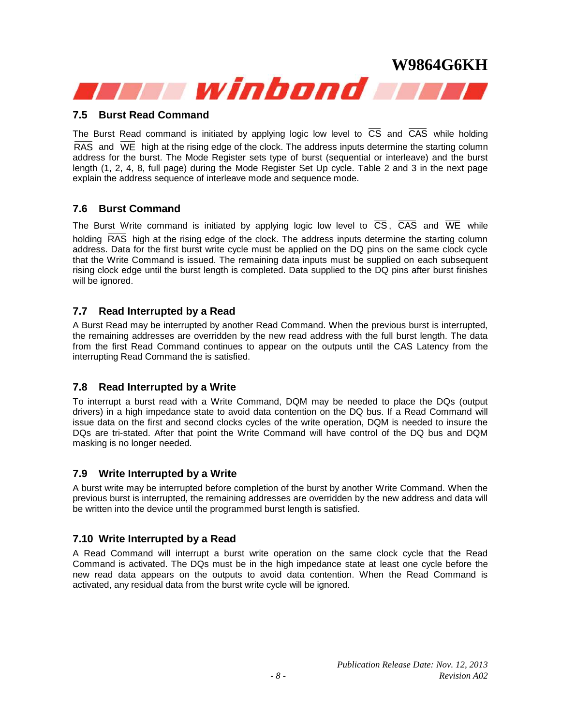#### **7.5 Burst Read Command**

The Burst Read command is initiated by applying logic low level to CS and CAS while holding RAS and WE high at the rising edge of the clock. The address inputs determine the starting column address for the burst. The Mode Register sets type of burst (sequential or interleave) and the burst length (1, 2, 4, 8, full page) during the Mode Register Set Up cycle. Table 2 and 3 in the next page explain the address sequence of interleave mode and sequence mode.

#### **7.6 Burst Command**

The Burst Write command is initiated by applying logic low level to CS, CAS and WE while holding RAS high at the rising edge of the clock. The address inputs determine the starting column address. Data for the first burst write cycle must be applied on the DQ pins on the same clock cycle that the Write Command is issued. The remaining data inputs must be supplied on each subsequent rising clock edge until the burst length is completed. Data supplied to the DQ pins after burst finishes will be ignored.

#### **7.7 Read Interrupted by a Read**

A Burst Read may be interrupted by another Read Command. When the previous burst is interrupted, the remaining addresses are overridden by the new read address with the full burst length. The data from the first Read Command continues to appear on the outputs until the CAS Latency from the interrupting Read Command the is satisfied.

#### **7.8 Read Interrupted by a Write**

To interrupt a burst read with a Write Command, DQM may be needed to place the DQs (output drivers) in a high impedance state to avoid data contention on the DQ bus. If a Read Command will issue data on the first and second clocks cycles of the write operation, DQM is needed to insure the DQs are tri-stated. After that point the Write Command will have control of the DQ bus and DQM masking is no longer needed.

#### **7.9 Write Interrupted by a Write**

A burst write may be interrupted before completion of the burst by another Write Command. When the previous burst is interrupted, the remaining addresses are overridden by the new address and data will be written into the device until the programmed burst length is satisfied.

#### **7.10 Write Interrupted by a Read**

A Read Command will interrupt a burst write operation on the same clock cycle that the Read Command is activated. The DQs must be in the high impedance state at least one cycle before the new read data appears on the outputs to avoid data contention. When the Read Command is activated, any residual data from the burst write cycle will be ignored.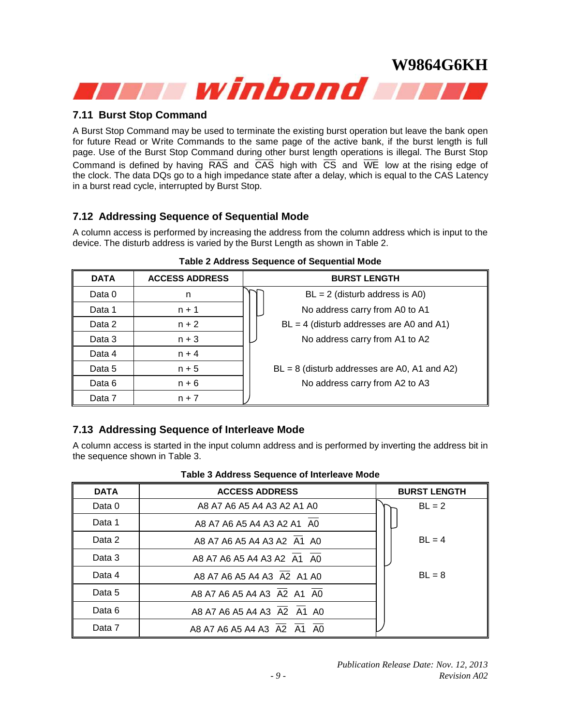#### **7.11 Burst Stop Command**

A Burst Stop Command may be used to terminate the existing burst operation but leave the bank open for future Read or Write Commands to the same page of the active bank, if the burst length is full page. Use of the Burst Stop Command during other burst length operations is illegal. The Burst Stop Command is defined by having RAS and CAS high with CS and WE low at the rising edge of the clock. The data DQs go to a high impedance state after a delay, which is equal to the CAS Latency in a burst read cycle, interrupted by Burst Stop.

#### **7.12 Addressing Sequence of Sequential Mode**

A column access is performed by increasing the address from the column address which is input to the device. The disturb address is varied by the Burst Length as shown in Table 2.

| <b>DATA</b> | <b>ACCESS ADDRESS</b> | <b>BURST LENGTH</b>                            |
|-------------|-----------------------|------------------------------------------------|
| Data 0      | n                     | $BL = 2$ (disturb address is A0)               |
| Data 1      | $n + 1$               | No address carry from A0 to A1                 |
| Data 2      | $n + 2$               | $BL = 4$ (disturb addresses are A0 and A1)     |
| Data 3      | $n + 3$               | No address carry from A1 to A2                 |
| Data 4      | $n + 4$               |                                                |
| Data 5      | $n + 5$               | $BL = 8$ (disturb addresses are A0, A1 and A2) |
| Data 6      | $n + 6$               | No address carry from A2 to A3                 |
| Data 7      | $n + 7$               |                                                |

#### **Table 2 Address Sequence of Sequential Mode**

#### **7.13 Addressing Sequence of Interleave Mode**

A column access is started in the input column address and is performed by inverting the address bit in the sequence shown in Table 3.

| <b>DATA</b> | <b>ACCESS ADDRESS</b>      | <b>BURST LENGTH</b> |
|-------------|----------------------------|---------------------|
| Data 0      | A8 A7 A6 A5 A4 A3 A2 A1 A0 | $BL = 2$            |
| Data 1      | A8 A7 A6 A5 A4 A3 A2 A1 A0 |                     |
| Data 2      | A8 A7 A6 A5 A4 A3 A2 A1 A0 | $BL = 4$            |
| Data 3      | A8 A7 A6 A5 A4 A3 A2 A1 A0 |                     |
| Data 4      | A8 A7 A6 A5 A4 A3 A2 A1 A0 | $BL = 8$            |
| Data 5      | A8 A7 A6 A5 A4 A3 A2 A1 A0 |                     |
| Data 6      | A8 A7 A6 A5 A4 A3 A2 A1 A0 |                     |
| Data 7      | A8 A7 A6 A5 A4 A3 A2 A1 A0 |                     |

#### **Table 3 Address Sequence of Interleave Mode**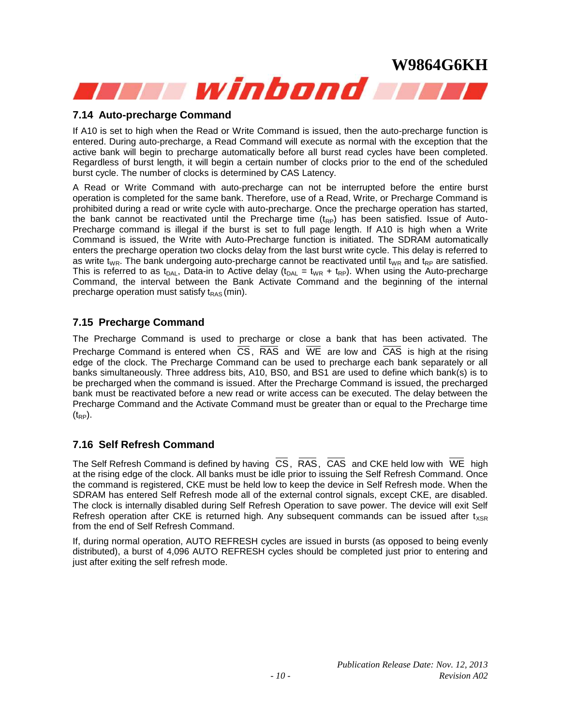#### **7.14 Auto-precharge Command**

If A10 is set to high when the Read or Write Command is issued, then the auto-precharge function is entered. During auto-precharge, a Read Command will execute as normal with the exception that the active bank will begin to precharge automatically before all burst read cycles have been completed. Regardless of burst length, it will begin a certain number of clocks prior to the end of the scheduled burst cycle. The number of clocks is determined by CAS Latency.

A Read or Write Command with auto-precharge can not be interrupted before the entire burst operation is completed for the same bank. Therefore, use of a Read, Write, or Precharge Command is prohibited during a read or write cycle with auto-precharge. Once the precharge operation has started, the bank cannot be reactivated until the Precharge time  $(t_{RP})$  has been satisfied. Issue of Auto-Precharge command is illegal if the burst is set to full page length. If A10 is high when a Write Command is issued, the Write with Auto-Precharge function is initiated. The SDRAM automatically enters the precharge operation two clocks delay from the last burst write cycle. This delay is referred to as write t<sub>WR</sub>. The bank undergoing auto-precharge cannot be reactivated until t<sub>WR</sub> and t<sub>RP</sub> are satisfied. This is referred to as t<sub>DAL</sub>, Data-in to Active delay (t<sub>DAL</sub> = t<sub>WR</sub> + t<sub>RP</sub>). When using the Auto-precharge Command, the interval between the Bank Activate Command and the beginning of the internal precharge operation must satisfy  $t_{RAS}$  (min).

#### **7.15 Precharge Command**

The Precharge Command is used to precharge or close a bank that has been activated. The Precharge Command is entered when CS, RAS and WE are low and CAS is high at the rising edge of the clock. The Precharge Command can be used to precharge each bank separately or all banks simultaneously. Three address bits, A10, BS0, and BS1 are used to define which bank(s) is to be precharged when the command is issued. After the Precharge Command is issued, the precharged bank must be reactivated before a new read or write access can be executed. The delay between the Precharge Command and the Activate Command must be greater than or equal to the Precharge time  $(t_{RP})$ .

#### **7.16 Self Refresh Command**

The Self Refresh Command is defined by having CS, RAS, CAS and CKE held low with WE high at the rising edge of the clock. All banks must be idle prior to issuing the Self Refresh Command. Once the command is registered, CKE must be held low to keep the device in Self Refresh mode. When the SDRAM has entered Self Refresh mode all of the external control signals, except CKE, are disabled. The clock is internally disabled during Self Refresh Operation to save power. The device will exit Self Refresh operation after CKE is returned high. Any subsequent commands can be issued after  $t_{XSR}$ from the end of Self Refresh Command.

If, during normal operation, AUTO REFRESH cycles are issued in bursts (as opposed to being evenly distributed), a burst of 4,096 AUTO REFRESH cycles should be completed just prior to entering and just after exiting the self refresh mode.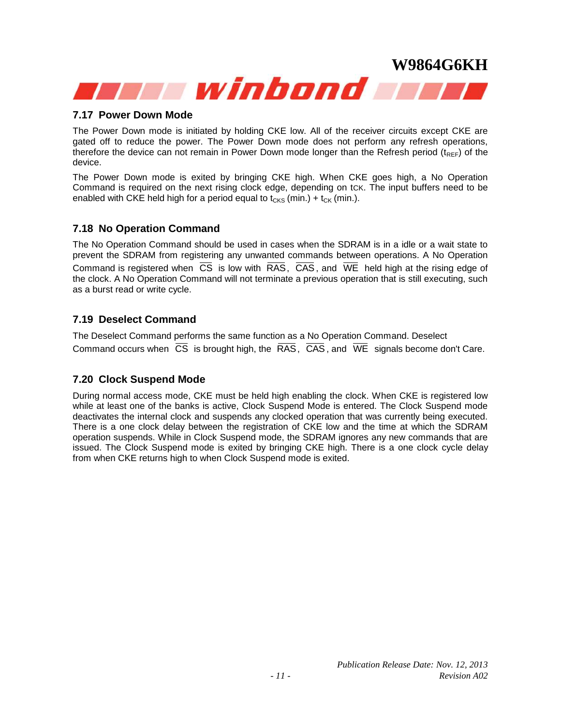#### **7.17 Power Down Mode**

The Power Down mode is initiated by holding CKE low. All of the receiver circuits except CKE are gated off to reduce the power. The Power Down mode does not perform any refresh operations, therefore the device can not remain in Power Down mode longer than the Refresh period ( $t_{\text{REF}}$ ) of the device.

The Power Down mode is exited by bringing CKE high. When CKE goes high, a No Operation Command is required on the next rising clock edge, depending on tCK. The input buffers need to be enabled with CKE held high for a period equal to  $t_{CKS}$  (min.) +  $t_{CK}$  (min.).

#### **7.18 No Operation Command**

The No Operation Command should be used in cases when the SDRAM is in a idle or a wait state to prevent the SDRAM from registering any unwanted commands between operations. A No Operation Command is registered when CS is low with RAS, CAS, and WE held high at the rising edge of the clock. A No Operation Command will not terminate a previous operation that is still executing, such as a burst read or write cycle.

#### **7.19 Deselect Command**

The Deselect Command performs the same function as a No Operation Command. Deselect Command occurs when CS is brought high, the RAS, CAS , and WE signals become don't Care.

#### **7.20 Clock Suspend Mode**

During normal access mode, CKE must be held high enabling the clock. When CKE is registered low while at least one of the banks is active, Clock Suspend Mode is entered. The Clock Suspend mode deactivates the internal clock and suspends any clocked operation that was currently being executed. There is a one clock delay between the registration of CKE low and the time at which the SDRAM operation suspends. While in Clock Suspend mode, the SDRAM ignores any new commands that are issued. The Clock Suspend mode is exited by bringing CKE high. There is a one clock cycle delay from when CKE returns high to when Clock Suspend mode is exited.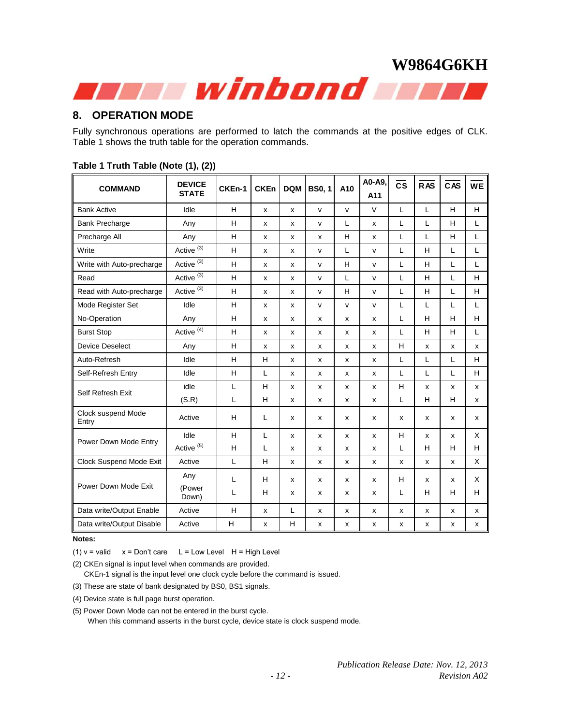#### **8. OPERATION MODE**

Fully synchronous operations are performed to latch the commands at the positive edges of CLK. Table 1 shows the truth table for the operation commands.

| <b>COMMAND</b>              | <b>DEVICE</b>         | CKEn-1 | <b>CKEn</b> | <b>DQM</b> | <b>BS0, 1</b> | A10          | A0-A9,       | $\overline{\text{cs}}$ | RAS | CAS | <b>WE</b> |
|-----------------------------|-----------------------|--------|-------------|------------|---------------|--------------|--------------|------------------------|-----|-----|-----------|
|                             | <b>STATE</b>          |        |             |            |               |              | A11          |                        |     |     |           |
| <b>Bank Active</b>          | Idle                  | H      | x           | x          | $\mathsf{v}$  | v            | V            | L                      | Г   | H   | H         |
| <b>Bank Precharge</b>       | Any                   | H      | x           | x          | $\mathsf{v}$  | L            | x            | L                      | L   | H   | L         |
| Precharge All               | Any                   | H      | х           | x          | X             | H            | X            | L                      | L   | H   | L         |
| Write                       | Active $(3)$          | H      | x           | x          | $\mathsf{V}$  | L            | $\mathsf{v}$ | L                      | H   | L   | L         |
| Write with Auto-precharge   | Active <sup>(3)</sup> | H      | x           | x          | $\mathsf{v}$  | H            | v            | L                      | H   | L   | L         |
| Read                        | Active <sup>(3)</sup> | H      | x           | x          | $\mathsf{v}$  | L            | v            | L                      | H   | L   | H         |
| Read with Auto-precharge    | Active <sup>(3)</sup> | H      | x           | x          | $\mathsf{v}$  | H            | v            | L                      | H   | L   | H         |
| Mode Register Set           | Idle                  | H      | x           | x          | $\mathsf{V}$  | $\mathsf{v}$ | $\mathsf{v}$ | L                      | L   | L   | L         |
| No-Operation                | Any                   | H      | x           | x          | X             | x            | X            | L                      | H   | H   | H         |
| <b>Burst Stop</b>           | Active <sup>(4)</sup> | H      | x           | x          | x             | x            | x            | L                      | H   | H   | L         |
| <b>Device Deselect</b>      | Any                   | H      | x           | x          | X             | x            | X            | H                      | X   | x   | x         |
| Auto-Refresh                | Idle                  | H      | H           | x          | х             | x            | x            | L                      | L   | L   | H         |
| Self-Refresh Entry          | Idle                  | H      | L           | x          | X             | x            | X            | L                      | L   | L   | H         |
| Self Refresh Exit           | idle                  | L      | н           | x          | х             | x            | x            | H                      | X   | x   | x         |
|                             | (S.R)                 | L      | H           | x          | x             | x            | X            | L                      | H   | H   | x         |
| Clock suspend Mode<br>Entry | Active                | H      | L           | x          | х             | x            | x            | x                      | x   | x   | x         |
| Power Down Mode Entry       | Idle                  | H      | L           | x          | X             | x            | X            | H                      | X   | x   | X         |
|                             | Active $(5)$          | H      | L           | x          | x             | x            | x            | L                      | н   | н   | H         |
| Clock Suspend Mode Exit     | Active                | L      | H           | x          | х             | x            | x            | x                      | x   | x   | X         |
|                             | Any                   | L      | н           | x          | X             | x            | x            | H                      | X   | x   | X         |
| Power Down Mode Exit        | (Power<br>Down)       | L      | H           | x          | X             | x            | x            | L                      | H   | H   | H         |
| Data write/Output Enable    | Active                | H      | x           | L          | x             | x            | x            | x                      | x   | x   | x         |
| Data write/Output Disable   | Active                | H      | x           | H          | x             | x            | x            | x                      | X   | x   | x         |

#### **Table 1 Truth Table (Note (1), (2))**

**Notes:**

(1)  $v =$  valid  $x =$  Don't care L = Low Level H = High Level

(2) CKEn signal is input level when commands are provided.

CKEn-1 signal is the input level one clock cycle before the command is issued.

(3) These are state of bank designated by BS0, BS1 signals.

(4) Device state is full page burst operation.

(5) Power Down Mode can not be entered in the burst cycle.

When this command asserts in the burst cycle, device state is clock suspend mode.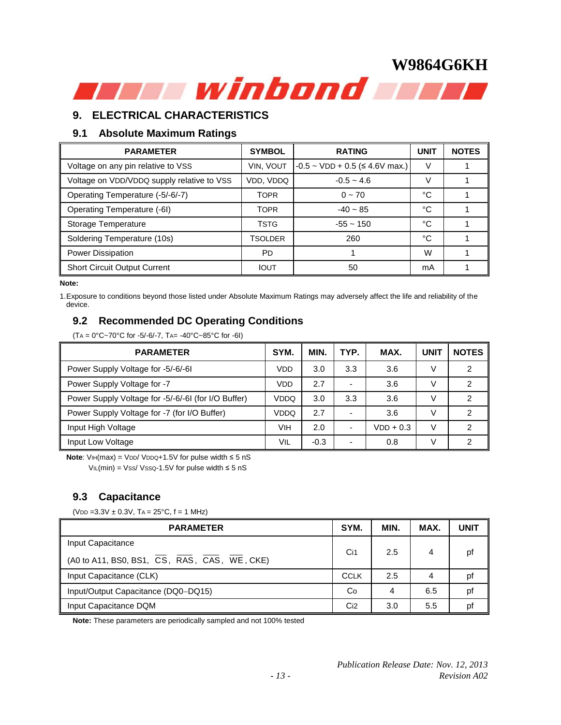#### **9. ELECTRICAL CHARACTERISTICS**

#### **9.1 Absolute Maximum Ratings**

| <b>PARAMETER</b>                           | <b>SYMBOL</b> | <b>RATING</b>                             | <b>UNIT</b> | <b>NOTES</b> |
|--------------------------------------------|---------------|-------------------------------------------|-------------|--------------|
| Voltage on any pin relative to VSS         | VIN, VOUT     | $-0.5 \sim$ VDD + 0.5 ( $\leq$ 4.6V max.) | V           |              |
| Voltage on VDD/VDDQ supply relative to VSS | VDD, VDDQ     | $-0.5 - 4.6$                              | V           |              |
| Operating Temperature (-5/-6/-7)           | <b>TOPR</b>   | $0 \sim 70$                               | °C          |              |
| Operating Temperature (-6I)                | <b>TOPR</b>   | $-40 - 85$                                | °C          |              |
| Storage Temperature                        | <b>TSTG</b>   | $-55 - 150$                               | °C          |              |
| Soldering Temperature (10s)                | TSOLDER       | 260                                       | °C          |              |
| <b>Power Dissipation</b>                   | PD            |                                           | W           |              |
| <b>Short Circuit Output Current</b>        | <b>IOUT</b>   | 50                                        | mA          |              |

#### **Note:**

1.Exposure to conditions beyond those listed under Absolute Maximum Ratings may adversely affect the life and reliability of the device.

#### **9.2 Recommended DC Operating Conditions**

(TA = 0°C~70°C for -5/-6/-7, TA= -40°C~85°C for -6I)

| <b>PARAMETER</b>                                    | SYM. | <b>MIN</b> | TYP.                     | MAX.        | <b>UNIT</b> | <b>NOTES</b> |
|-----------------------------------------------------|------|------------|--------------------------|-------------|-------------|--------------|
| Power Supply Voltage for -5/-6/-61                  | VDD  | 3.0        | 3.3                      | 3.6         | V           | ◠            |
| Power Supply Voltage for -7                         | VDD  | 2.7        | -                        | 3.6         | V           | 2            |
| Power Supply Voltage for -5/-6/-61 (for I/O Buffer) | VDDQ | 3.0        | 3.3                      | 3.6         | V           | 2            |
| Power Supply Voltage for -7 (for I/O Buffer)        | VDDQ | 2.7        | $\overline{a}$           | 3.6         | V           | 2            |
| Input High Voltage                                  | VIH  | 2.0        | $\overline{a}$           | $VDD + 0.3$ | V           | າ            |
| Input Low Voltage                                   | VIL  | $-0.3$     | $\overline{\phantom{0}}$ | 0.8         | V           | ◠            |

Note: V⊪(max) = VDD/ VDDQ+1.5V for pulse width ≤ 5 nS  $VIL(min) = VSS/VSSQ-1.5V$  for pulse width ≤ 5 nS

#### **9.3 Capacitance**

(VDD = 3.3V  $\pm$  0.3V, TA = 25°C, f = 1 MHz)

| <b>PARAMETER</b>                             | SYM.            | MIN. | MAX. | <b>UNIT</b> |
|----------------------------------------------|-----------------|------|------|-------------|
| Input Capacitance                            |                 |      |      |             |
| (A0 to A11, BS0, BS1, CS, RAS, CAS, WE, CKE) | Ci1             | 2.5  | 4    | pf          |
| Input Capacitance (CLK)                      | <b>CCLK</b>     | 2.5  | 4    | pf          |
| Input/Output Capacitance (DQ0-DQ15)          | Co              | 4    | 6.5  | pf          |
| Input Capacitance DQM                        | Ci <sub>2</sub> | 3.0  | 5.5  | pf          |

**Note:** These parameters are periodically sampled and not 100% tested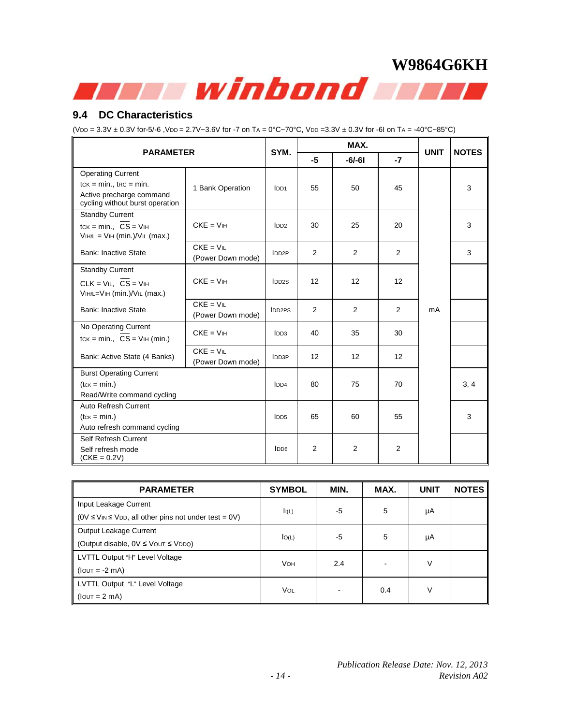

#### **9.4 DC Characteristics**

 $(VDD = 3.3V ± 0.3V for -5/-6, VDD = 2.7V - 3.6V for -7 on TA = 0°C - 70°C, VDD = 3.3V ± 0.3V for -6I on TA = -40°C - 85°C)$ 

| <b>PARAMETER</b>                                                                        |                                  |                    |                | MAX.           | <b>UNIT</b> | <b>NOTES</b> |      |
|-----------------------------------------------------------------------------------------|----------------------------------|--------------------|----------------|----------------|-------------|--------------|------|
|                                                                                         |                                  |                    |                | $-6/-61$       | $-7$        |              |      |
| <b>Operating Current</b><br>$tcK = min.$ , $tcc = min.$                                 | 1 Bank Operation                 | IDD1               | 55             | 50             | 45          |              | 3    |
| Active precharge command<br>cycling without burst operation                             |                                  |                    |                |                |             |              |      |
| <b>Standby Current</b><br>$tcK = min., CS = VIH$<br>$VIIH/L = VII$ (min.)/ $VII$ (max.) | $CKE = VIH$                      | IDD2               | 30             | 25             | 20          |              | 3    |
| <b>Bank: Inactive State</b>                                                             | $CKE = VIL$<br>(Power Down mode) | IDD2P              | $\overline{2}$ | 2              | 2           |              | 3    |
| <b>Standby Current</b>                                                                  |                                  |                    |                |                |             |              |      |
| $CLK = VIL$ , $\overline{CS} = VIH$<br>VIH/L=VIH (min.)/VIL (max.)                      | $CKE = VIH$                      | IDD <sub>2</sub> S | 12             | 12             | 12          |              |      |
| <b>Bank: Inactive State</b>                                                             | $CKE = VIL$<br>(Power Down mode) | IDD2PS             | 2              | $\overline{2}$ | 2           | mA           |      |
| No Operating Current<br>$tcK = min.$ , $CS = VHH (min.)$                                | $CKE = VIH$                      | IDD3               | 40             | 35             | 30          |              |      |
| Bank: Active State (4 Banks)                                                            | $CKE = VIL$<br>(Power Down mode) | <b>IDD3P</b>       | 12             | 12             | 12          |              |      |
| <b>Burst Operating Current</b>                                                          |                                  |                    |                |                |             |              |      |
| $(tcK = min.)$                                                                          |                                  | IDD4               | 80             | 75             | 70          |              | 3, 4 |
| Read/Write command cycling                                                              |                                  |                    |                |                |             |              |      |
| Auto Refresh Current<br>$(tc \kappa = \min.)$                                           |                                  | IDD <sub>5</sub>   | 65             | 60             | 55          |              | 3    |
| Auto refresh command cycling                                                            |                                  |                    |                |                |             |              |      |
| Self Refresh Current                                                                    |                                  |                    |                |                |             |              |      |
| Self refresh mode<br>$(CKE = 0.2V)$                                                     |                                  | $I$ <sub>DD6</sub> | 2              | $\overline{2}$ | 2           |              |      |

| <b>PARAMETER</b>                                                                   | <b>SYMBOL</b> | MIN. | MAX. | <b>UNIT</b> | <b>NOTES</b> |
|------------------------------------------------------------------------------------|---------------|------|------|-------------|--------------|
| Input Leakage Current                                                              |               |      | 5    |             |              |
| $(0 \vee \leq \vee \cup \leq \vee \cup \cup$ , all other pins not under test = 0V) | I(L)          | -5   |      | μA          |              |
| Output Leakage Current                                                             |               | -5   | 5    |             |              |
| (Output disable, $0V \leq V$ OUT $\leq VDDQ$ )                                     | IO(L)         |      |      | μA          |              |
| LVTTL Output "H" Level Voltage                                                     | <b>VOH</b>    | 2.4  |      | V           |              |
| $(10UT = -2 mA)$                                                                   |               |      |      |             |              |
| LVTTL Output "L" Level Voltage                                                     | Vol           |      |      |             |              |
| $(10UT = 2 mA)$                                                                    |               |      | 0.4  | V           |              |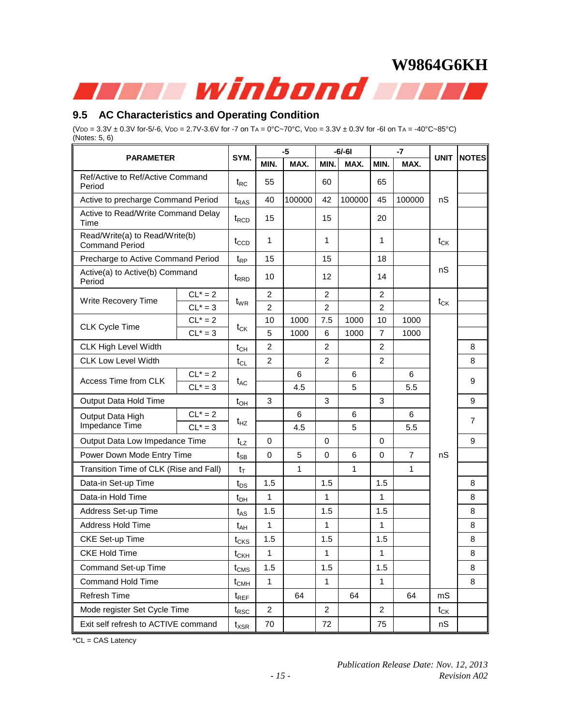#### **9.5 AC Characteristics and Operating Condition**

(VDD =  $3.3V \pm 0.3V$  for-5/-6, VDD = 2.7V-3.6V for -7 on TA =  $0^{\circ}C \sim 70^{\circ}C$ , VDD =  $3.3V \pm 0.3V$  for -6I on TA = -40 $^{\circ}C \sim 85^{\circ}C$ ) (Notes: 5, 6)

| <b>PARAMETER</b>                                        |            | SYM.                           | $-5$           |        | $-6/-61$       |              | $-7$           |                | <b>UNIT</b> | <b>NOTES</b>   |
|---------------------------------------------------------|------------|--------------------------------|----------------|--------|----------------|--------------|----------------|----------------|-------------|----------------|
|                                                         |            |                                | MIN.           | MAX.   | MIN.           | MAX.         | MIN.           | MAX.           |             |                |
| Ref/Active to Ref/Active Command<br>Period              |            | $t_{RC}$                       | 55             |        | 60             |              | 65             |                |             |                |
| Active to precharge Command Period                      |            | $t_{\sf RAS}$                  | 40             | 100000 | 42             | 100000       | 45             | 100000         | nS          |                |
| Active to Read/Write Command Delay<br>Time              |            | t <sub>RCD</sub>               | 15             |        | 15             |              | 20             |                |             |                |
| Read/Write(a) to Read/Write(b)<br><b>Command Period</b> |            | $t_{\text{CCD}}$               | 1              |        | 1              |              | 1              |                | $t_{CK}$    |                |
| Precharge to Active Command Period                      |            | $t_{RP}$                       | 15             |        | 15             |              | 18             |                |             |                |
| Active(a) to Active(b) Command<br>Period                |            | t <sub>RRD</sub>               | 10             |        | 12             |              | 14             |                | nS          |                |
|                                                         | $CL^* = 2$ | $t_{WR}$                       | $\overline{c}$ |        | $\overline{2}$ |              | $\overline{2}$ |                | $t_{CK}$    |                |
| Write Recovery Time                                     | $CL^* = 3$ |                                | $\overline{2}$ |        | 2              |              | $\overline{2}$ |                |             |                |
| <b>CLK Cycle Time</b>                                   | $CL^* = 2$ | $t_{CK}$                       | 10             | 1000   | 7.5            | 1000         | 10             | 1000           |             |                |
|                                                         | $CL^* = 3$ |                                | 5              | 1000   | 6              | 1000         | $\overline{7}$ | 1000           |             |                |
| CLK High Level Width                                    |            | $t_{CH}$                       | $\overline{2}$ |        | $\overline{2}$ |              | 2              |                |             | 8              |
| <b>CLK Low Level Width</b>                              |            | $t_{CL}$                       | $\overline{2}$ |        | 2              |              | $\overline{2}$ |                |             | 8              |
| Access Time from CLK                                    | $CL^* = 2$ | $t_{AC}$                       |                | 6      |                | 6            |                | 6              |             | 9              |
|                                                         | $CL^* = 3$ |                                |                | 4.5    |                | 5            |                | 5.5            |             |                |
| Output Data Hold Time                                   |            | $t_{OH}$                       | 3              |        | 3              |              | 3              |                |             | 9              |
| Output Data High                                        | $CL^* = 2$ | t <sub>HZ</sub>                |                | 6      |                | 6            |                | 6              |             | $\overline{7}$ |
| Impedance Time                                          | $CL^* = 3$ |                                |                | 4.5    |                | 5            |                | 5.5            |             |                |
| Output Data Low Impedance Time                          |            | $t_{LZ}$                       | $\Omega$       |        | $\Omega$       |              | $\Omega$       |                |             | 9              |
| Power Down Mode Entry Time                              |            | $t_{\text{SB}}$                | $\mathbf 0$    | 5      | 0              | 6            | $\mathbf 0$    | $\overline{7}$ | nS          |                |
| Transition Time of CLK (Rise and Fall)                  |            | $t_{\text{T}}$                 |                | 1      |                | $\mathbf{1}$ |                | 1              |             |                |
| Data-in Set-up Time                                     |            | $t_{DS}$                       | 1.5            |        | 1.5            |              | 1.5            |                |             | 8              |
| Data-in Hold Time                                       |            | $t_{DH}$                       | 1              |        | 1              |              | 1              |                |             | 8              |
| Address Set-up Time                                     |            | $t_{AS}$                       | 1.5            |        | 1.5            |              | 1.5            |                |             | 8              |
| <b>Address Hold Time</b>                                |            | t <sub>AH</sub>                | 1              |        | 1              |              | 1              |                |             | 8              |
| CKE Set-up Time                                         |            | $t_{CKS}$                      | 1.5            |        | 1.5            |              | 1.5            |                |             | 8              |
| <b>CKE Hold Time</b>                                    |            | $t_{\scriptstyle{\text{CKH}}}$ | 1              |        | 1              |              | 1              |                |             | 8              |
| Command Set-up Time                                     |            | $t_{\text{CMS}}$               | 1.5            |        | 1.5            |              | 1.5            |                |             | 8              |
| <b>Command Hold Time</b>                                |            | $t_{\text{CMH}}$               | $\mathbf{1}$   |        | 1              |              | 1              |                |             | 8              |
| Refresh Time                                            |            | $t_{REF}$                      |                | 64     |                | 64           |                | 64             | mS          |                |
| Mode register Set Cycle Time                            |            | $t_{\mathsf{RSC}}$             | $\overline{2}$ |        | $\overline{2}$ |              | $\overline{2}$ |                | $t_{CK}$    |                |
| Exit self refresh to ACTIVE command                     |            | $t_{\sf XSR}$                  | 70             |        | 72             |              | 75             |                | nS          |                |

\*CL = CAS Latency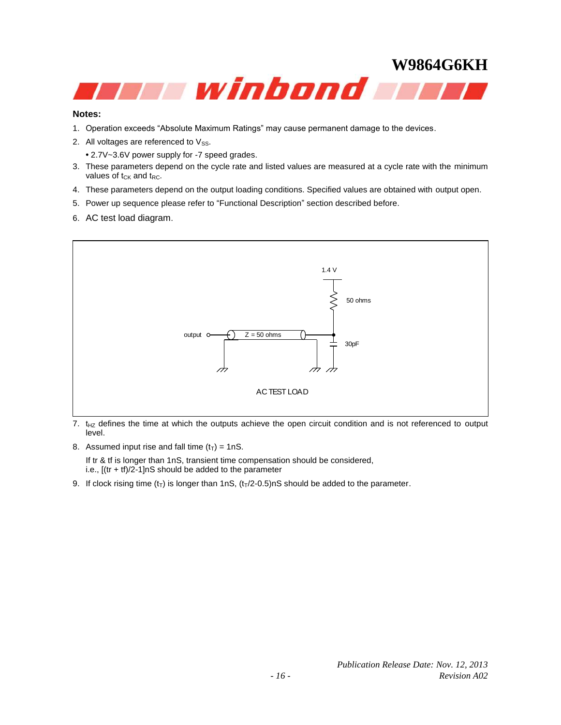

#### **Notes:**

- 1. Operation exceeds "Absolute Maximum Ratings" may cause permanent damage to the devices.
- 2. All voltages are referenced to  $V_{SS}$ .
	- **•** 2.7V~3.6V power supply for -7 speed grades.
- 3. These parameters depend on the cycle rate and listed values are measured at a cycle rate with the minimum values of  $t_{CK}$  and  $t_{RC}$ .
- 4. These parameters depend on the output loading conditions. Specified values are obtained with output open.
- 5. Power up sequence please refer to "Functional Description" section described before.
- 6. AC test load diagram.



<sup>7.</sup>  $t_{HZ}$  defines the time at which the outputs achieve the open circuit condition and is not referenced to output level.

8. Assumed input rise and fall time  $(t_T) = 1nS$ .

If tr & tf is longer than 1nS, transient time compensation should be considered, i.e.,  $[(tr + tf)/2-1]$ nS should be added to the parameter

9. If clock rising time  $(t_T)$  is longer than 1nS,  $(t_T/2-0.5)$ nS should be added to the parameter.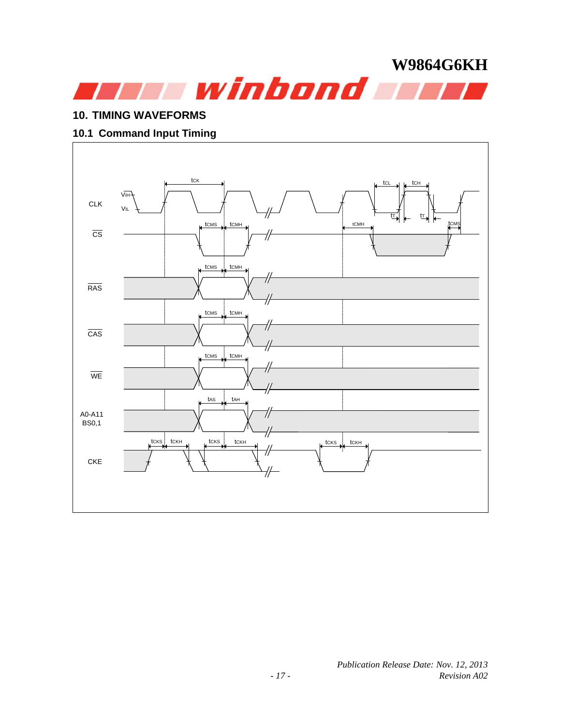

#### **10. TIMING WAVEFORMS**

#### **10.1 Command Input Timing**

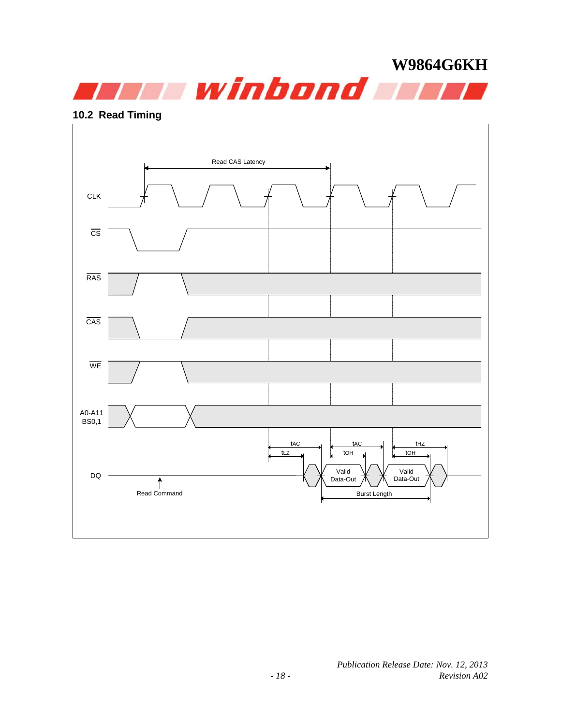

#### **10.2 Read Timing**

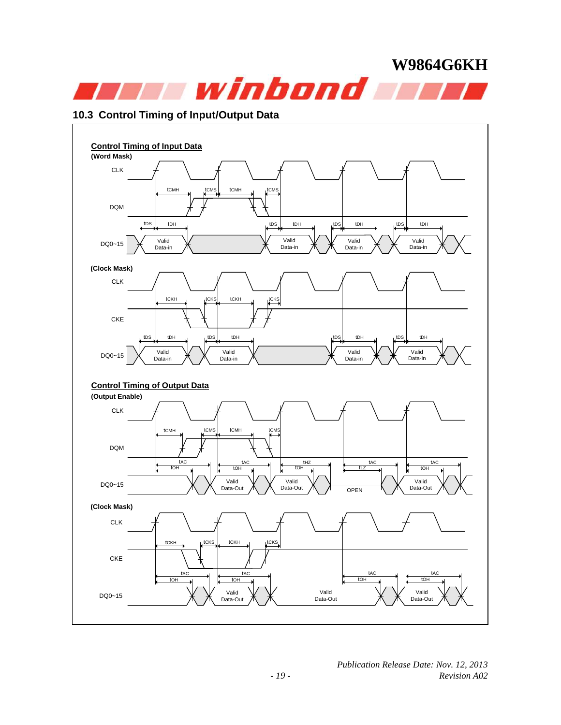

#### **10.3 Control Timing of Input/Output Data**

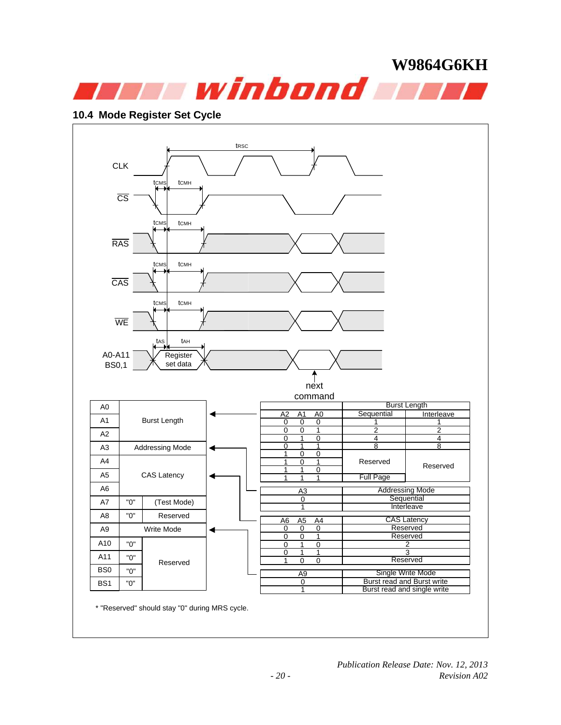

#### **10.4 Mode Register Set Cycle**

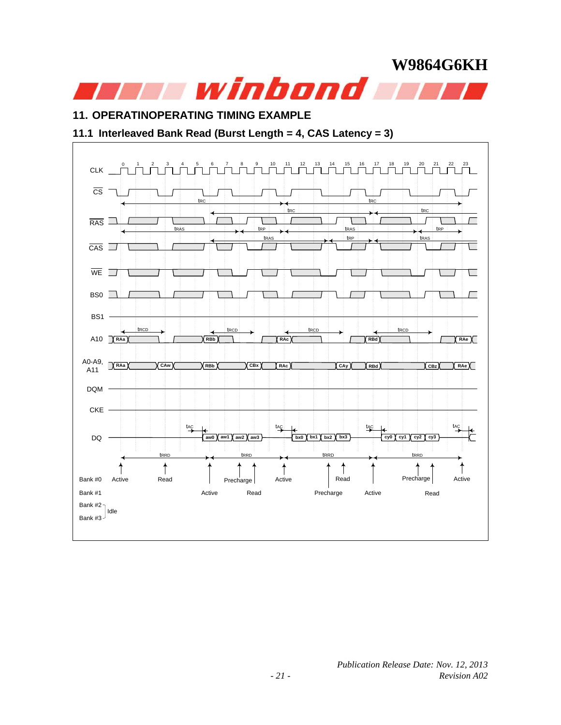### **11. OPERATINOPERATING TIMING EXAMPLE**

#### **11.1 Interleaved Bank Read (Burst Length = 4, CAS Latency = 3)**

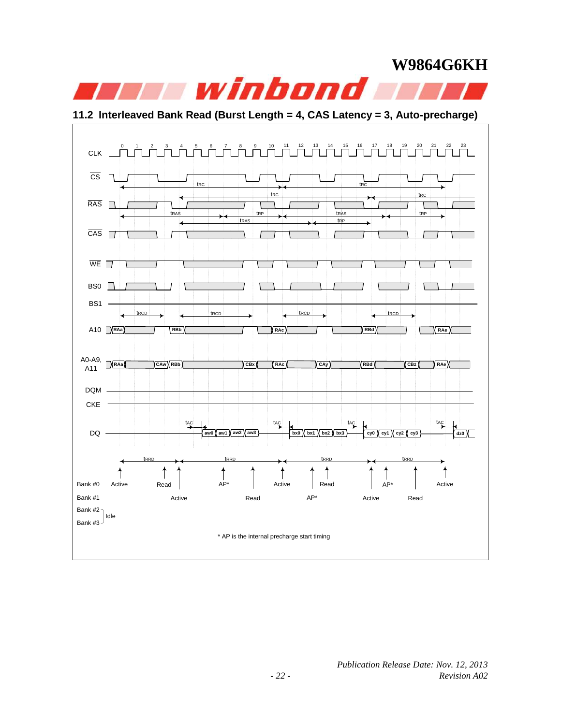

**11.2 Interleaved Bank Read (Burst Length = 4, CAS Latency = 3, Auto-precharge)**

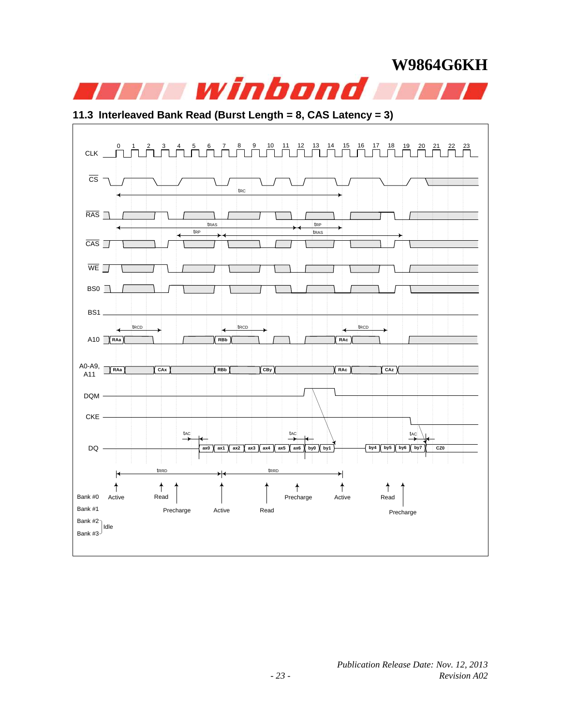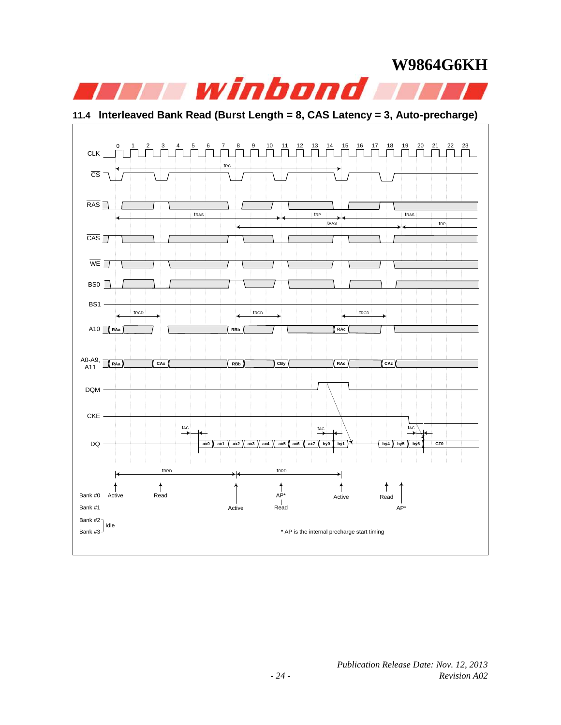### **W9864G6KH Twinbond**

**11.4 Interleaved Bank Read (Burst Length = 8, CAS Latency = 3, Auto-precharge)**

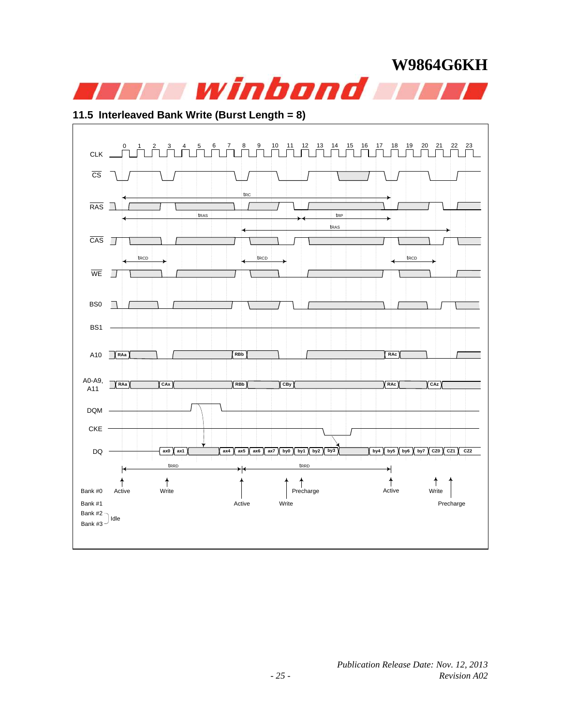

#### **11.5 Interleaved Bank Write (Burst Length = 8)**

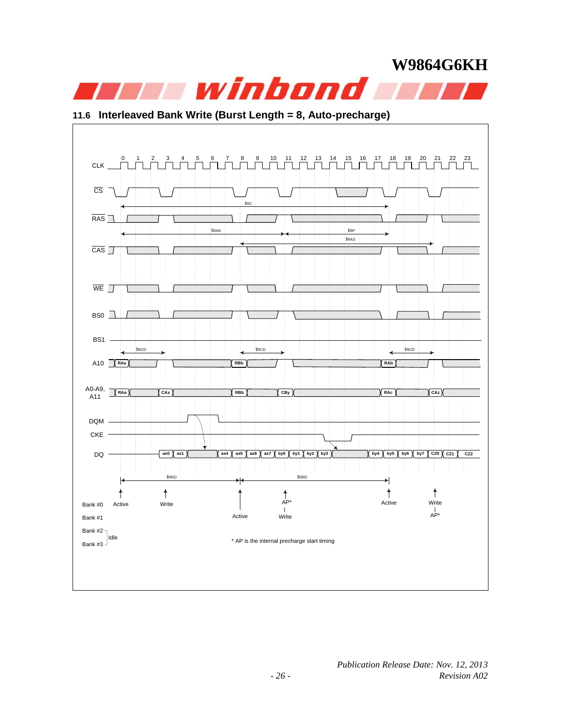

#### **11.6 Interleaved Bank Write (Burst Length = 8, Auto-precharge)**

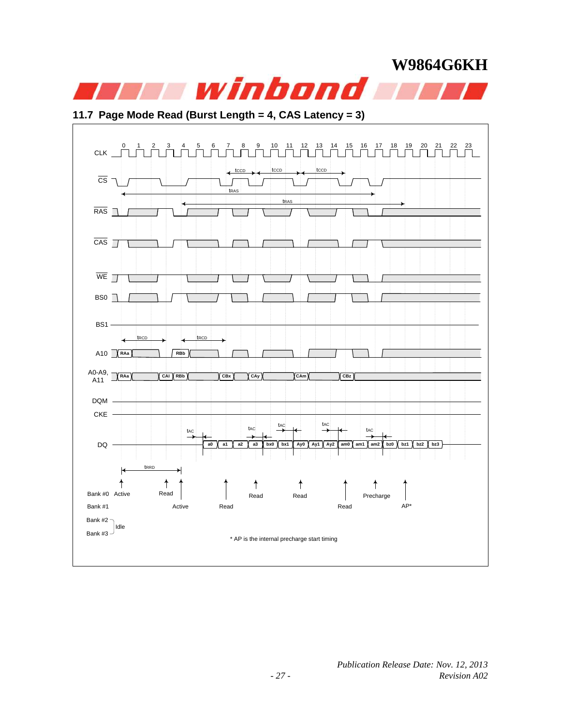

### **11.7 Page Mode Read (Burst Length = 4, CAS Latency = 3)**

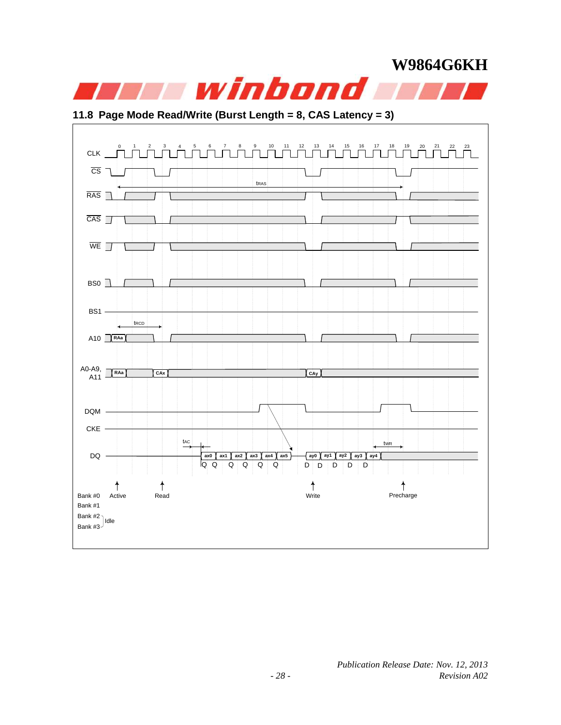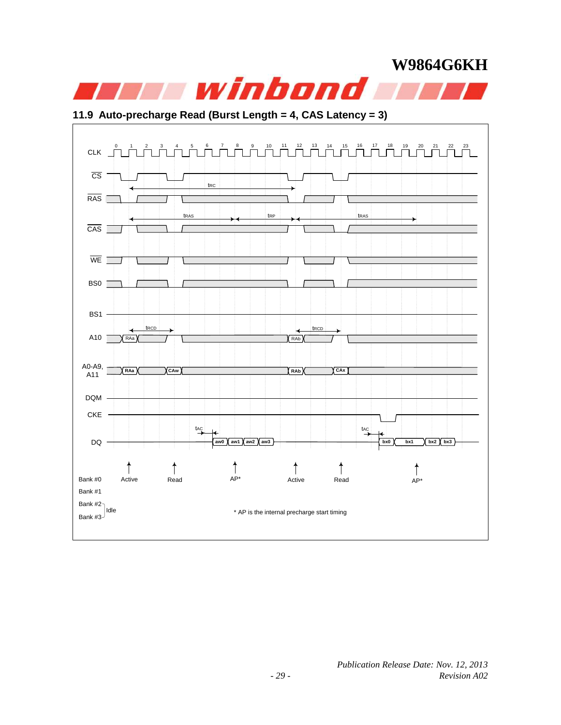

#### **11.9 Auto-precharge Read (Burst Length = 4, CAS Latency = 3)**

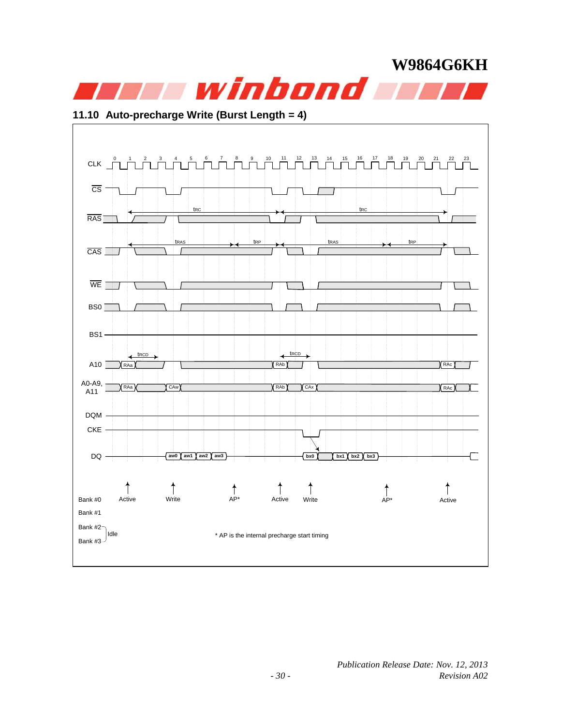

#### **11.10 Auto-precharge Write (Burst Length = 4)**

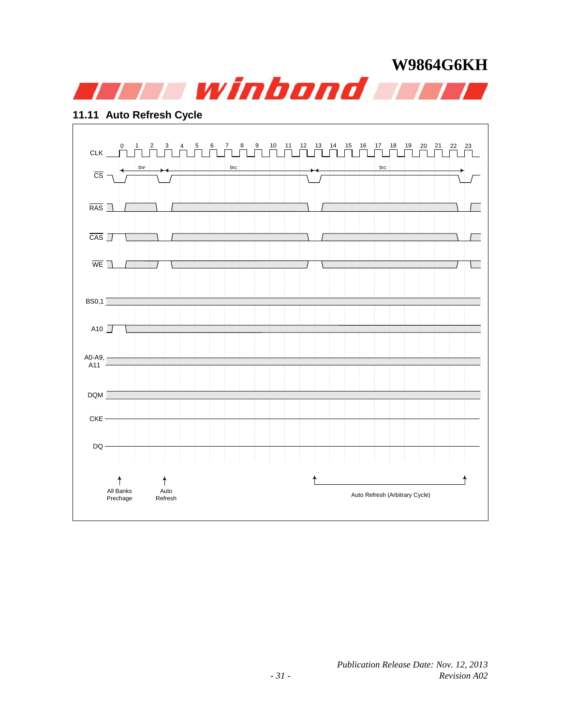

#### **11.11 Auto Refresh Cycle**

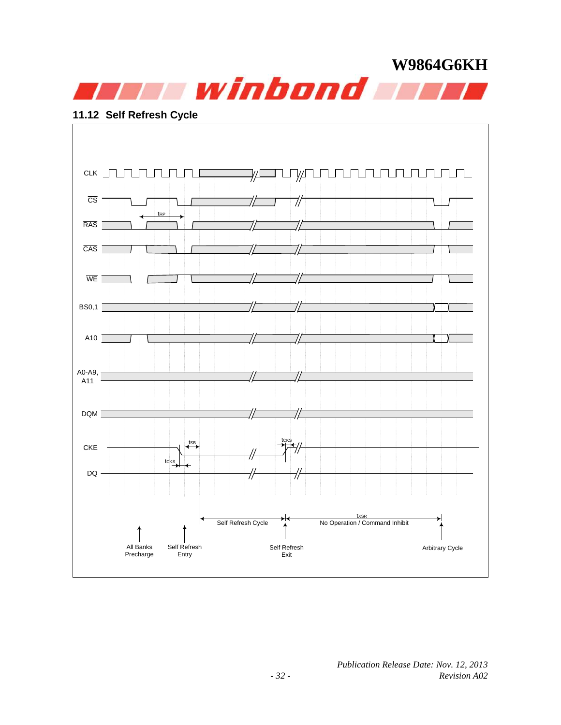

#### **11.12 Self Refresh Cycle**

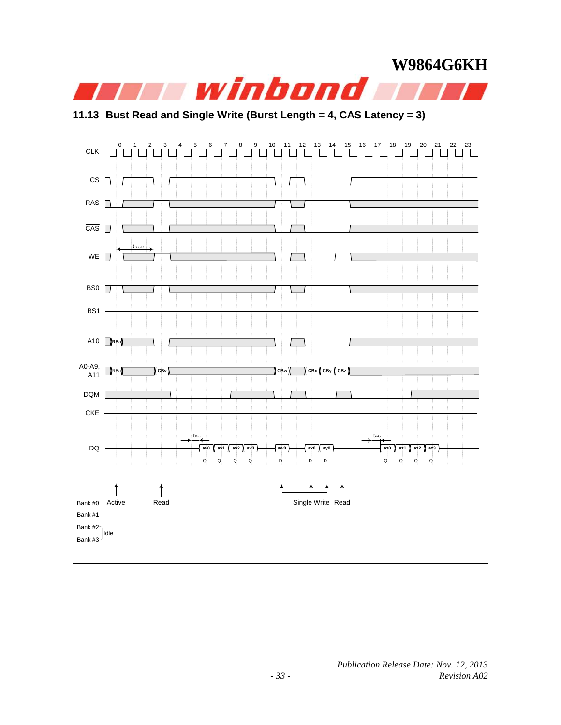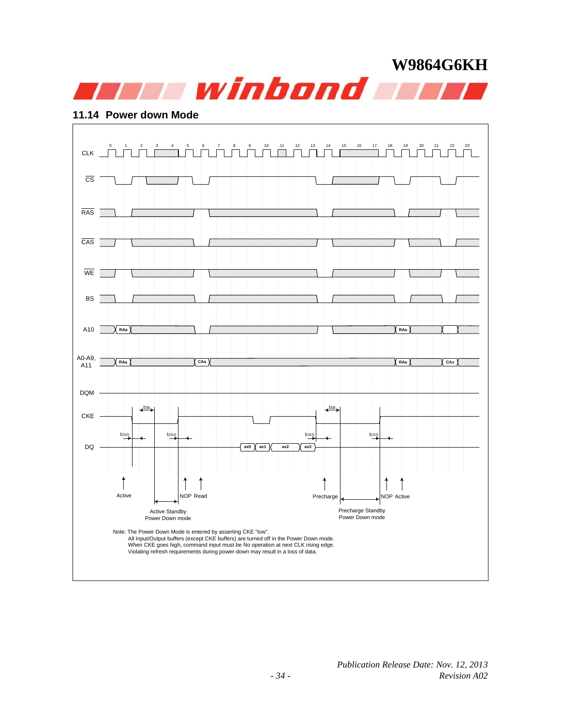

#### **11.14 Power down Mode**

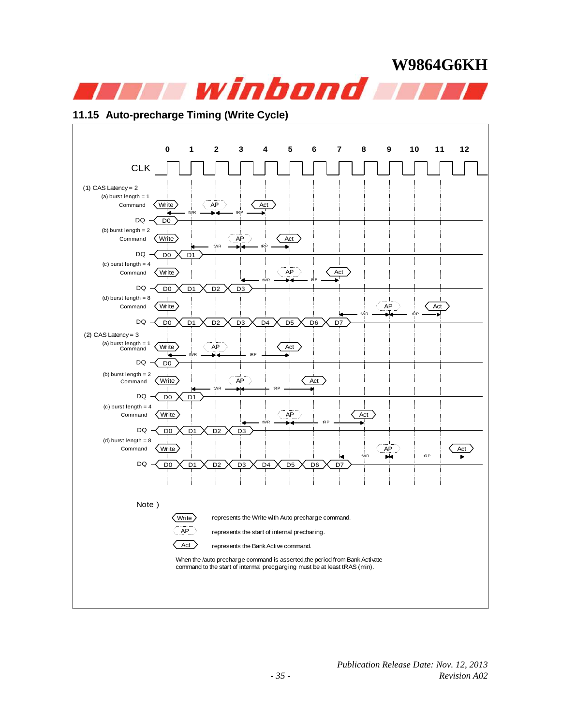

#### **11.15 Auto-precharge Timing (Write Cycle)**

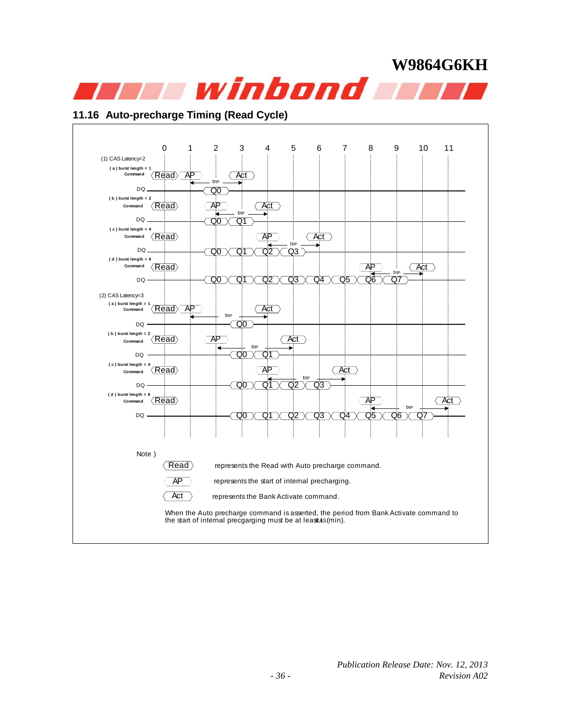

#### **11.16 Auto-precharge Timing (Read Cycle)**

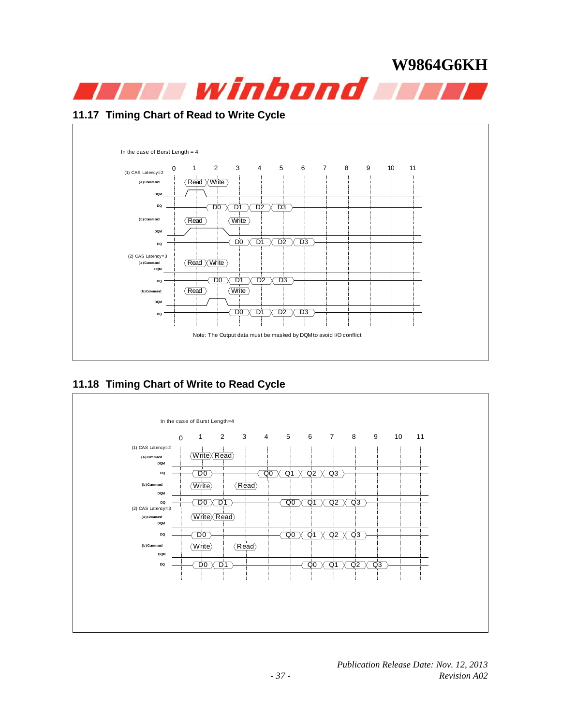

#### **11.17 Timing Chart of Read to Write Cycle**



### **11.18 Timing Chart of Write to Read Cycle**

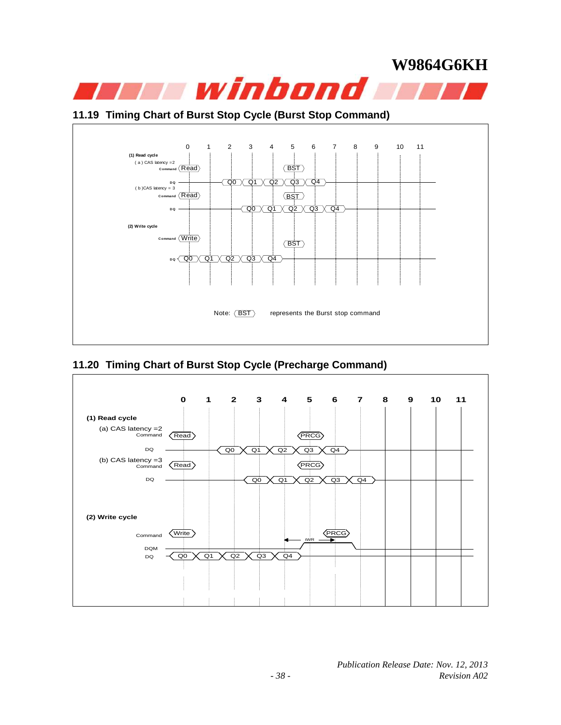#### **11.19 Timing Chart of Burst Stop Cycle (Burst Stop Command)**



### **11.20 Timing Chart of Burst Stop Cycle (Precharge Command)**

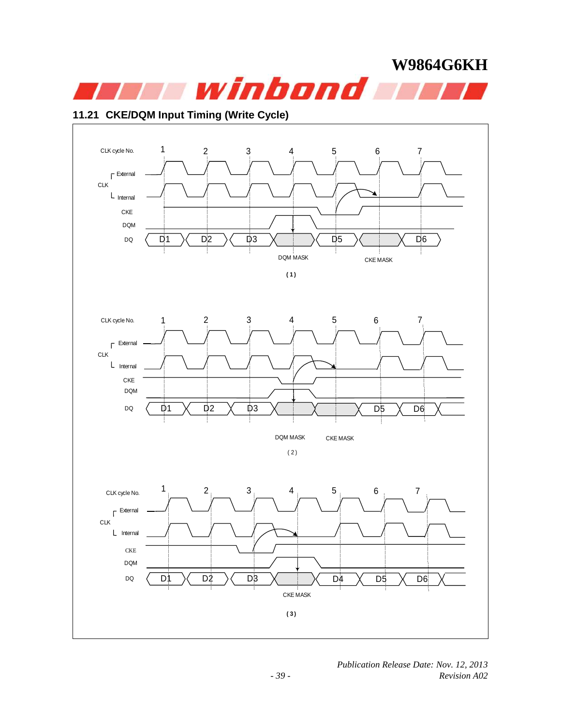

#### **11.21 CKE/DQM Input Timing (Write Cycle)**

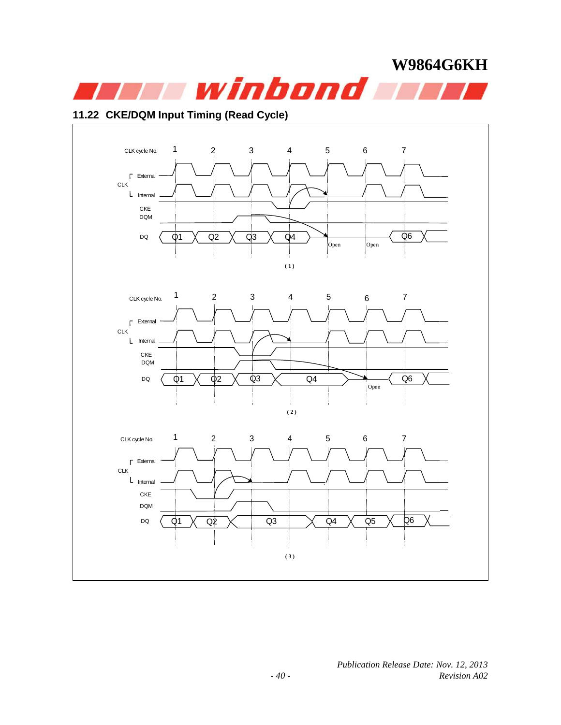

#### **11.22 CKE/DQM Input Timing (Read Cycle)**

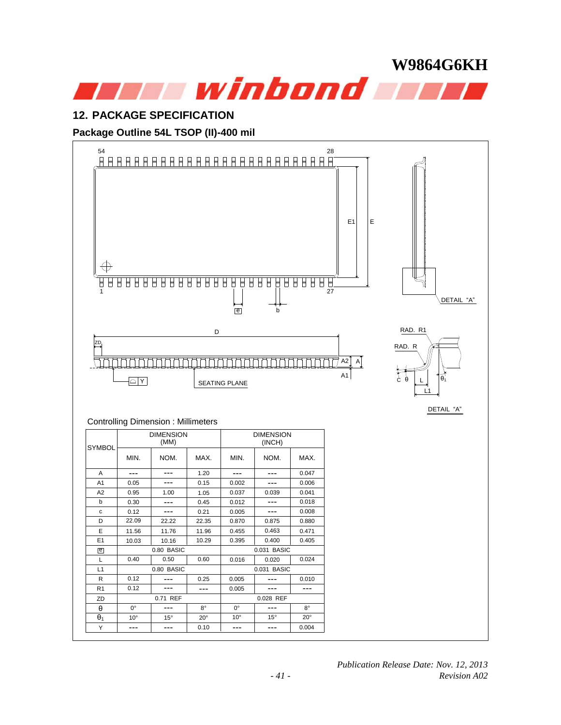

#### **12. PACKAGE SPECIFICATION**

#### **Package Outline 54L TSOP (II)-400 mil**